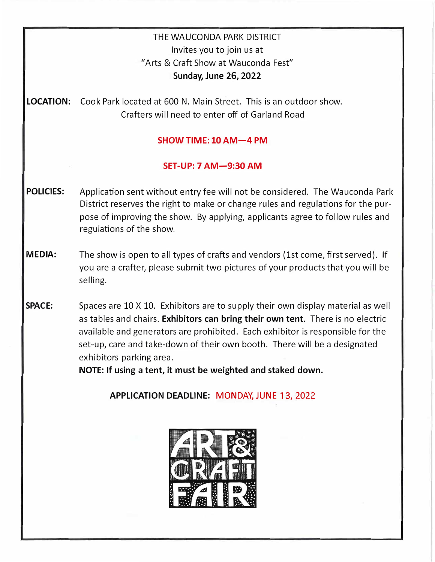## THE WAUCONDA PARK DISTRICT Invites you to join us at "Arts & Craft Show at Wauconda Fest" Sunday, June 2**6**, 2022

**LOCATION:** Cook Park located at 600 N. Main Street. This is an outdoor show. Crafters will need to enter off of Garland Road

## **SHOW TIME: 10 AM-4 PM**

## **SET-UP: 7 AM-9:30 AM**

- **POLICIES:** Application sent without entry fee will not be considered. The Wauconda Park District reserves the right to make or change rules and regulations for the purpose of improving the show. By applying, applicants agree to follow rules and regulations of the show.
- **MEDIA:** The show is open to all types of crafts and vendors (1st come, first served). If you are a crafter, please submit two pictures of your products that you will be selling.
- **SPACE:** Spaces are 10 X 10. Exhibitors are to supply their own display material as well as tables and chairs. **Exhibitors can bring their own tent.** There is no electric available and generators are prohibited. Each exhibitor is responsible for the set-up, care and take-down of their own booth. There will be a designated exhibitors parking area.

**NOTE: If using a tent, it must be weighted and staked down.** 

**APPLICATION DEADLINE: MONDAY, JUNE 13, 202**2